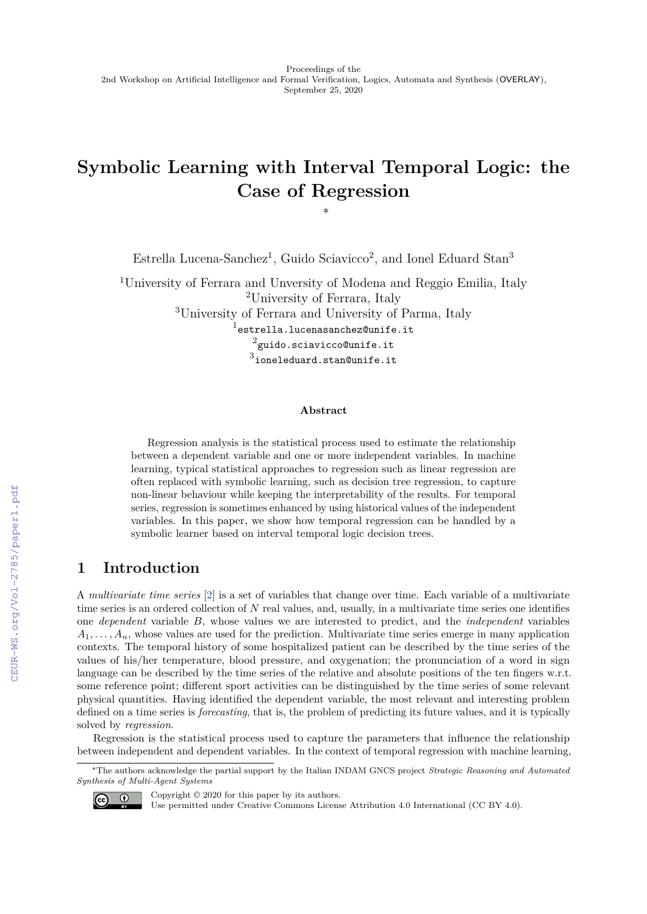# **Symbolic Learning with Interval Temporal Logic: the Case of Regression**

∗

Estrella Lucena-Sanchez<sup>1</sup>, Guido Sciavicco<sup>2</sup>, and Ionel Eduard Stan<sup>3</sup>

<sup>1</sup>University of Ferrara and Unversity of Modena and Reggio Emilia, Italy <sup>2</sup>University of Ferrara, Italy <sup>3</sup>University of Ferrara and University of Parma, Italy  $^{\rm l}$ estrella.lucenasanchez@unife.it  $^2$ guido.sciavicco@unife.it  $^3$ ioneleduard.stan@unife.it

#### **Abstract**

Regression analysis is the statistical process used to estimate the relationship between a dependent variable and one or more independent variables. In machine learning, typical statistical approaches to regression such as linear regression are often replaced with symbolic learning, such as decision tree regression, to capture non-linear behaviour while keeping the interpretability of the results. For temporal series, regression is sometimes enhanced by using historical values of the independent variables. In this paper, we show how temporal regression can be handled by a symbolic learner based on interval temporal logic decision trees.

## **1 Introduction**

A *multivariate time series* [\[2\]](#page--1-0) is a set of variables that change over time. Each variable of a multivariate time series is an ordered collection of *N* real values, and, usually, in a multivariate time series one identifies one *dependent* variable *B*, whose values we are interested to predict, and the *independent* variables  $A_1, \ldots, A_n$ , whose values are used for the prediction. Multivariate time series emerge in many application contexts. The temporal history of some hospitalized patient can be described by the time series of the values of his/her temperature, blood pressure, and oxygenation; the pronunciation of a word in sign language can be described by the time series of the relative and absolute positions of the ten fingers w.r.t. some reference point; different sport activities can be distinguished by the time series of some relevant physical quantities. Having identified the dependent variable, the most relevant and interesting problem defined on a time series is *forecasting*, that is, the problem of predicting its future values, and it is typically solved by *regression*.

Regression is the statistical process used to capture the parameters that influence the relationship between independent and dependent variables. In the context of temporal regression with machine learning,

<sup>∗</sup>The authors acknowledge the partial support by the Italian INDAM GNCS project *Strategic Reasoning and Automated Synthesis of Multi-Agent Systems*



Copyright © 2020 for this paper by its authors.

Use permitted under Creative Commons License Attribution 4.0 International (CC BY 4.0).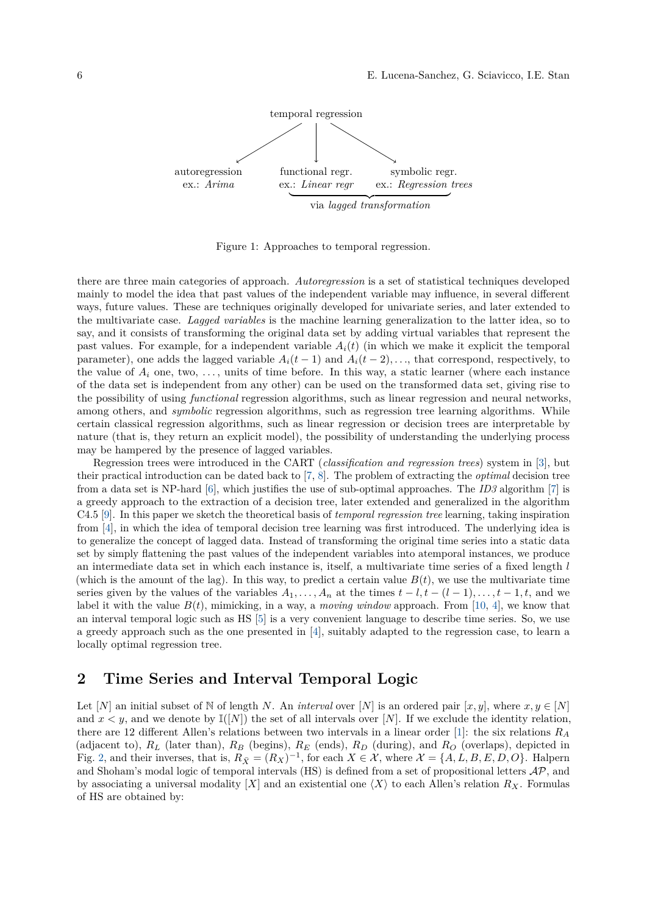

Figure 1: Approaches to temporal regression.

there are three main categories of approach. *Autoregression* is a set of statistical techniques developed mainly to model the idea that past values of the independent variable may influence, in several different ways, future values. These are techniques originally developed for univariate series, and later extended to the multivariate case. *Lagged variables* is the machine learning generalization to the latter idea, so to say, and it consists of transforming the original data set by adding virtual variables that represent the past values. For example, for a independent variable  $A_i(t)$  (in which we make it explicit the temporal parameter), one adds the lagged variable  $A_i(t-1)$  and  $A_i(t-2), \ldots$ , that correspond, respectively, to the value of  $A_i$  one, two,  $\dots$ , units of time before. In this way, a static learner (where each instance of the data set is independent from any other) can be used on the transformed data set, giving rise to the possibility of using *functional* regression algorithms, such as linear regression and neural networks, among others, and *symbolic* regression algorithms, such as regression tree learning algorithms. While certain classical regression algorithms, such as linear regression or decision trees are interpretable by nature (that is, they return an explicit model), the possibility of understanding the underlying process may be hampered by the presence of lagged variables.

Regression trees were introduced in the CART (*classification and regression trees*) system in [\[3\]](#page-4-0), but their practical introduction can be dated back to [\[7,](#page-4-1) [8\]](#page-4-2). The problem of extracting the *optimal* decision tree from a data set is NP-hard [\[6\]](#page-4-3), which justifies the use of sub-optimal approaches. The *ID3* algorithm [\[7\]](#page-4-1) is a greedy approach to the extraction of a decision tree, later extended and generalized in the algorithm C4.5 [\[9\]](#page-4-4). In this paper we sketch the theoretical basis of *temporal regression tree* learning, taking inspiration from [\[4\]](#page-4-5), in which the idea of temporal decision tree learning was first introduced. The underlying idea is to generalize the concept of lagged data. Instead of transforming the original time series into a static data set by simply flattening the past values of the independent variables into atemporal instances, we produce an intermediate data set in which each instance is, itself, a multivariate time series of a fixed length *l* (which is the amount of the lag). In this way, to predict a certain value  $B(t)$ , we use the multivariate time series given by the values of the variables  $A_1, \ldots, A_n$  at the times  $t - l, t - (l - 1), \ldots, t - 1, t$ , and we label it with the value  $B(t)$ , mimicking, in a way, a *moving window* approach. From [\[10,](#page-4-6) [4\]](#page-4-5), we know that an interval temporal logic such as HS [\[5\]](#page-4-7) is a very convenient language to describe time series. So, we use a greedy approach such as the one presented in [\[4\]](#page-4-5), suitably adapted to the regression case, to learn a locally optimal regression tree.

#### **2 Time Series and Interval Temporal Logic**

Let [*N*] an initial subset of N of length *N*. An *interval* over [*N*] is an ordered pair [*x, y*], where  $x, y \in [N]$ and  $x < y$ , and we denote by  $\mathbb{I}([N])$  the set of all intervals over [N]. If we exclude the identity relation, there are 12 different Allen's relations between two intervals in a linear order [\[1\]](#page-4-8): the six relations *R<sup>A</sup>* (adjacent to), *R<sup>L</sup>* (later than), *R<sup>B</sup>* (begins), *R<sup>E</sup>* (ends), *R<sup>D</sup>* (during), and *R<sup>O</sup>* (overlaps), depicted in Fig. [2,](#page-2-0) and their inverses, that is,  $R_{\bar{X}} = (R_X)^{-1}$ , for each  $X \in \mathcal{X}$ , where  $\mathcal{X} = \{A, L, B, E, D, O\}$ . Halpern and Shoham's modal logic of temporal intervals (HS) is defined from a set of propositional letters  $AP$ , and by associating a universal modality [X] and an existential one  $\langle X \rangle$  to each Allen's relation  $R_X$ . Formulas of HS are obtained by: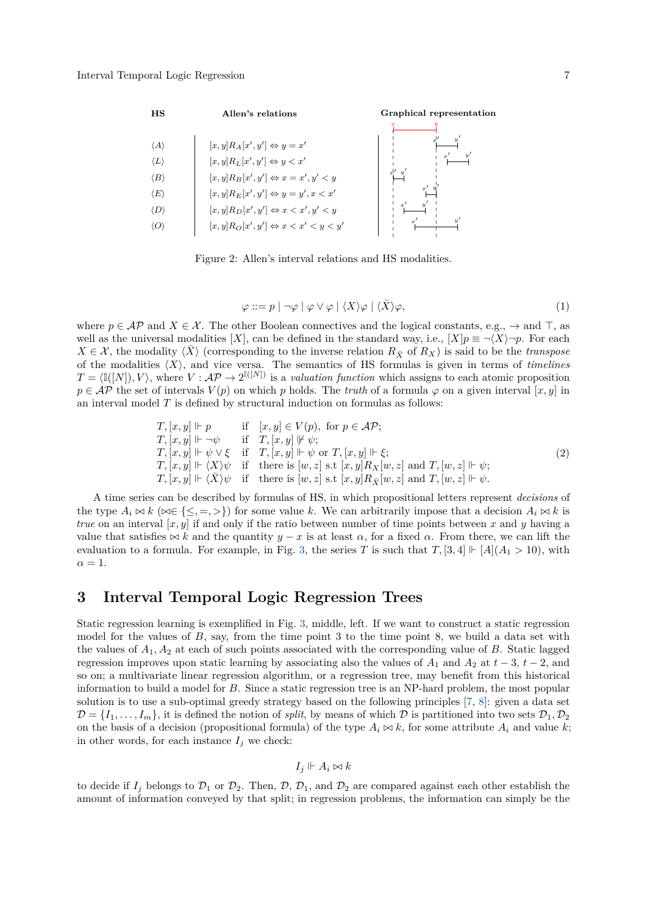

Figure 2: Allen's interval relations and HS modalities.

<span id="page-2-0"></span>
$$
\varphi ::= p \mid \neg \varphi \mid \varphi \lor \varphi \mid \langle X \rangle \varphi \mid \langle \bar{X} \rangle \varphi, \tag{1}
$$

where  $p \in \mathcal{AP}$  and  $X \in \mathcal{X}$ . The other Boolean connectives and the logical constants, e.g.,  $\rightarrow$  and  $\top$ , as well as the universal modalities [*X*], can be defined in the standard way, i.e.,  $[X|p \equiv \neg \langle X \rangle \neg p$ . For each  $X \in \mathcal{X}$ , the modality  $\langle \overline{X} \rangle$  (corresponding to the inverse relation  $R_{\overline{X}}$  of  $R_X$ ) is said to be the *transpose* of the modalities  $\langle X \rangle$ , and vice versa. The semantics of HS formulas is given in terms of *timelines*  $T = \langle \mathbb{I}([N]), V \rangle$ , where  $V : \mathcal{AP} \to 2^{\mathbb{I}([N])}$  is a *valuation function* which assigns to each atomic proposition  $p \in AP$  the set of intervals  $V(p)$  on which *p* holds. The *truth* of a formula  $\varphi$  on a given interval [*x, y*] in an interval model *T* is defined by structural induction on formulas as follows:

$$
T, [x, y] \Vdash p \quad \text{if} \quad [x, y] \in V(p), \text{ for } p \in \mathcal{AP};
$$
  
\n
$$
T, [x, y] \Vdash \neg \psi \quad \text{if} \quad T, [x, y] \Vdash \psi;
$$
  
\n
$$
T, [x, y] \Vdash \psi \vee \xi \quad \text{if} \quad T, [x, y] \Vdash \psi \text{ or } T, [x, y] \Vdash \xi;
$$
  
\n
$$
T, [x, y] \Vdash \langle X \rangle \psi \quad \text{if} \quad \text{there is } [w, z] \text{ s.t } [x, y] R_X [w, z] \text{ and } T, [w, z] \Vdash \psi;
$$
  
\n
$$
T, [x, y] \Vdash \langle \overline{X} \rangle \psi \quad \text{if} \quad \text{there is } [w, z] \text{ s.t } [x, y] R_{\overline{X}} [w, z] \text{ and } T, [w, z] \Vdash \psi.
$$
\n
$$
(2)
$$

A time series can be described by formulas of HS, in which propositional letters represent *decisions* of the type  $A_i \bowtie k$  ( $\bowtie \in \{\leq, =, \geq\}$ ) for some value k. We can arbitrarily impose that a decision  $A_i \bowtie k$  is *true* on an interval  $[x, y]$  if and only if the ratio between number of time points between x and y having a value that satisfies  $\bowtie$  *k* and the quantity *y* − *x* is at least  $\alpha$ , for a fixed  $\alpha$ . From there, we can lift the evaluation to a formula. For example, in Fig. [3,](#page-3-0) the series *T* is such that  $T$ , [3, 4]  $\vdash$  [*A*]( $A_1 > 10$ ), with  $\alpha = 1$ .

#### **3 Interval Temporal Logic Regression Trees**

Static regression learning is exemplified in Fig. [3,](#page-3-0) middle, left. If we want to construct a static regression model for the values of *B*, say, from the time point 3 to the time point 8, we build a data set with the values of *A*1*, A*<sup>2</sup> at each of such points associated with the corresponding value of *B*. Static lagged regression improves upon static learning by associating also the values of  $A_1$  and  $A_2$  at  $t-3$ ,  $t-2$ , and so on; a multivariate linear regression algorithm, or a regression tree, may benefit from this historical information to build a model for *B*. Since a static regression tree is an NP-hard problem, the most popular solution is to use a sub-optimal greedy strategy based on the following principles [\[7,](#page-4-1) [8\]](#page-4-2): given a data set  $\mathcal{D} = \{I_1, \ldots, I_m\}$ , it is defined the notion of *split*, by means of which  $\mathcal D$  is partitioned into two sets  $\mathcal D_1, \mathcal D_2$ on the basis of a decision (propositional formula) of the type  $A_i \bowtie k$ , for some attribute  $A_i$  and value  $k$ ; in other words, for each instance  $I_j$  we check:

$$
I_j \Vdash A_i \bowtie k
$$

to decide if  $I_j$  belongs to  $\mathcal{D}_1$  or  $\mathcal{D}_2$ . Then,  $\mathcal{D}, \mathcal{D}_1$ , and  $\mathcal{D}_2$  are compared against each other establish the amount of information conveyed by that split; in regression problems, the information can simply be the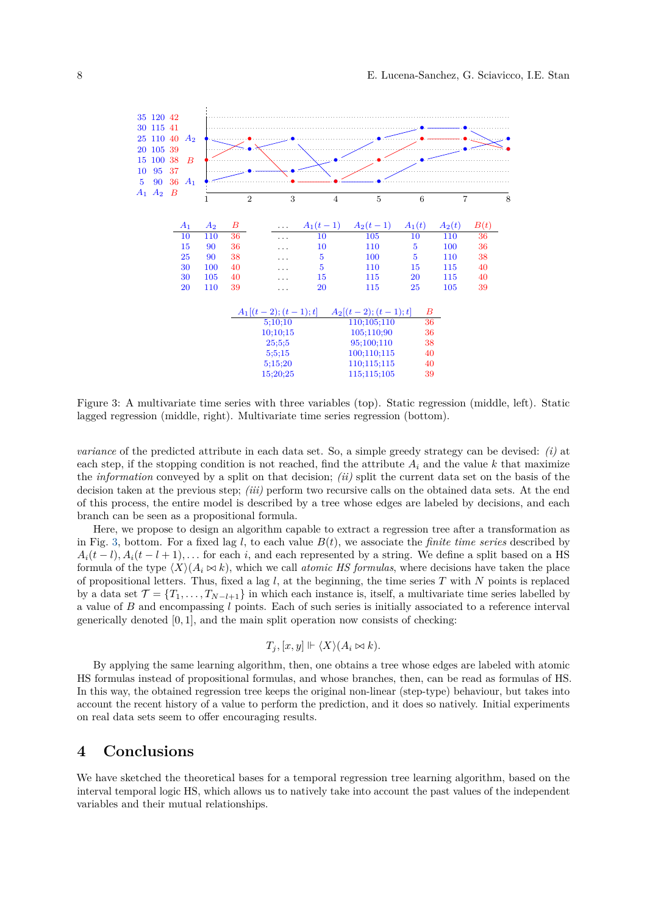

<span id="page-3-0"></span>Figure 3: A multivariate time series with three variables (top). Static regression (middle, left). Static lagged regression (middle, right). Multivariate time series regression (bottom).

*variance* of the predicted attribute in each data set. So, a simple greedy strategy can be devised: *(i)* at each step, if the stopping condition is not reached, find the attribute  $A_i$  and the value  $k$  that maximize the *information* conveyed by a split on that decision; *(ii)* split the current data set on the basis of the decision taken at the previous step; *(iii)* perform two recursive calls on the obtained data sets. At the end of this process, the entire model is described by a tree whose edges are labeled by decisions, and each branch can be seen as a propositional formula.

Here, we propose to design an algorithm capable to extract a regression tree after a transformation as in Fig. [3,](#page-3-0) bottom. For a fixed lag *l*, to each value  $B(t)$ , we associate the *finite time series* described by  $A_i(t-l), A_i(t-l+1), \ldots$  for each *i*, and each represented by a string. We define a split based on a HS formula of the type  $\langle X \rangle (A_i \bowtie k)$ , which we call *atomic HS formulas*, where decisions have taken the place of propositional letters. Thus, fixed a lag *l*, at the beginning, the time series *T* with *N* points is replaced by a data set  $\mathcal{T} = \{T_1, \ldots, T_{N-l+1}\}\$  in which each instance is, itself, a multivariate time series labelled by a value of *B* and encompassing *l* points. Each of such series is initially associated to a reference interval generically denoted [0*,* 1], and the main split operation now consists of checking:

$$
T_j, [x, y] \Vdash \langle X \rangle (A_i \bowtie k).
$$

By applying the same learning algorithm, then, one obtains a tree whose edges are labeled with atomic HS formulas instead of propositional formulas, and whose branches, then, can be read as formulas of HS. In this way, the obtained regression tree keeps the original non-linear (step-type) behaviour, but takes into account the recent history of a value to perform the prediction, and it does so natively. Initial experiments on real data sets seem to offer encouraging results.

#### **4 Conclusions**

We have sketched the theoretical bases for a temporal regression tree learning algorithm, based on the interval temporal logic HS, which allows us to natively take into account the past values of the independent variables and their mutual relationships.